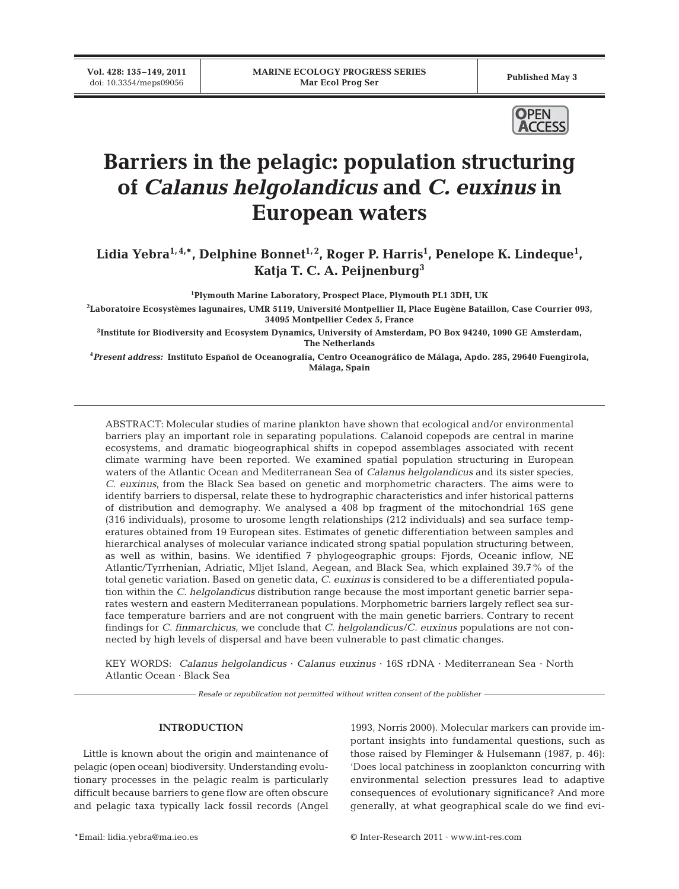**Vol. 428: 135–149, 2011**



# **Barriers in the pelagic: population structuring of** *Calanus helgolandicus* **and** *C. euxinus* **in European waters**

Lidia Yebra<sup>1,4,\*</sup>, Delphine Bonnet<sup>1,2</sup>, Roger P. Harris<sup>1</sup>, Penelope K. Lindeque<sup>1</sup>, **Katja T. C. A. Peijnenburg3**

**1 Plymouth Marine Laboratory, Prospect Place, Plymouth PL1 3DH, UK**

**2 Laboratoire Ecosystèmes lagunaires, UMR 5119, Université Montpellier II, Place Eugène Bataillon, Case Courrier 093, 34095 Montpellier Cedex 5, France**

**3 Institute for Biodiversity and Ecosystem Dynamics, University of Amsterdam, PO Box 94240, 1090 GE Amsterdam, The Netherlands**

**4** *Present address:* **Instituto Español de Oceanografía, Centro Oceanográfico de Málaga, Apdo. 285, 29640 Fuengirola, Málaga, Spain**

ABSTRACT: Molecular studies of marine plankton have shown that ecological and/or environmental barriers play an important role in separating populations. Calanoid copepods are central in marine ecosystems, and dramatic biogeographical shifts in copepod assemblages associated with recent climate warming have been reported. We examined spatial population structuring in European waters of the Atlantic Ocean and Mediterranean Sea of *Calanus helgolandicus* and its sister species, *C. euxi nus*, from the Black Sea based on genetic and morphometric characters. The aims were to identify barriers to dispersal, relate these to hydrographic characteristics and infer historical patterns of distribution and demography. We analysed a 408 bp fragment of the mitochondrial 16S gene (316 individuals), prosome to urosome length relationships (212 individuals) and sea surface temp eratures obtained from 19 European sites. Estimates of genetic differentiation between samples and hierarchical analyses of molecular variance indicated strong spatial population structuring between, as well as within, basins. We identified 7 phylogeographic groups: Fjords, Oceanic inflow, NE Atlantic/ Tyrrhenian, Adriatic, Mljet Island, Aegean, and Black Sea, which explained 39.7% of the total genetic variation. Based on genetic data, *C. euxinus* is considered to be a differentiated population within the *C. helgolandicus* distribution range because the most important genetic barrier separates western and eastern Mediterranean populations. Morphometric barriers largely reflect sea surface temperature barriers and are not congruent with the main genetic barriers. Contrary to recent findings for *C. finmarchicus*, we conclude that *C. helgolandicus*/*C. euxinus* populations are not connected by high levels of dispersal and have been vulnerable to past climatic changes.

KEY WORDS: *Calanus helgolandicus* · *Calanus euxinus* · 16S rDNA · Mediterranean Sea · North Atlantic Ocean · Black Sea

*Resale or republication not permitted without written consent of the publisher*

## **INTRODUCTION**

Little is known about the origin and maintenance of pelagic (open ocean) biodiversity. Understanding evolutionary processes in the pelagic realm is particularly difficult because barriers to gene flow are often obscure and pelagic taxa typically lack fossil records (Angel 1993, Norris 2000). Molecular markers can provide important insights into fundamental questions, such as those raised by Fleminger & Hulsemann (1987, p. 46): 'Does local patchiness in zooplankton concurring with environmental selection pressures lead to adaptive consequences of evolutionary significance? And more generally, at what geographical scale do we find evi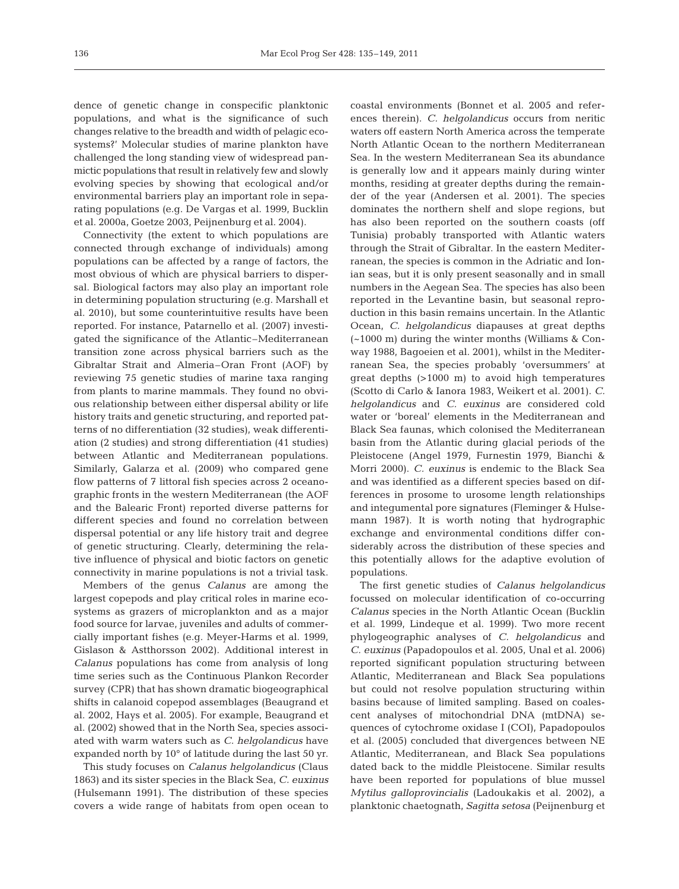dence of genetic change in conspecific planktonic populations, and what is the significance of such changes relative to the breadth and width of pelagic ecosystems?' Molecular studies of marine plankton have challenged the long standing view of widespread panmictic populations that result in relatively few and slowly evolving species by showing that ecological and/or environmental barriers play an important role in separating populations (e.g. De Vargas et al. 1999, Bucklin et al. 2000a, Goetze 2003, Peijnenburg et al. 2004).

Connectivity (the extent to which populations are connected through exchange of individuals) among populations can be affected by a range of factors, the most obvious of which are physical barriers to dispersal. Biological factors may also play an important role in determining population structuring (e.g. Marshall et al. 2010), but some counterintuitive results have been reported. For instance, Patarnello et al. (2007) investigated the significance of the Atlantic–Mediterranean transition zone across physical barriers such as the Gibraltar Strait and Almeria–Oran Front (AOF) by reviewing 75 genetic studies of marine taxa ranging from plants to marine mammals. They found no obvious relationship between either dispersal ability or life history traits and genetic structuring, and reported patterns of no differentiation (32 studies), weak differentiation (2 studies) and strong differentiation (41 studies) between Atlantic and Mediterranean populations. Similarly, Galarza et al. (2009) who compared gene flow patterns of 7 littoral fish species across 2 oceanographic fronts in the western Mediterranean (the AOF and the Balearic Front) reported diverse patterns for different species and found no correlation between dispersal potential or any life history trait and degree of genetic structuring. Clearly, determining the relative influence of physical and biotic factors on genetic connectivity in marine populations is not a trivial task.

Members of the genus *Calanus* are among the largest copepods and play critical roles in marine ecosystems as grazers of microplankton and as a major food source for larvae, juveniles and adults of commercially important fishes (e.g. Meyer-Harms et al. 1999, Gislason & Astthorsson 2002). Additional interest in *Calanus* populations has come from analysis of long time series such as the Continuous Plankon Recorder survey (CPR) that has shown dramatic biogeographical shifts in calanoid copepod assemblages (Beaugrand et al. 2002, Hays et al. 2005). For example, Beaugrand et al. (2002) showed that in the North Sea, species associated with warm waters such as *C. helgolandicus* have expanded north by 10° of latitude during the last 50 yr.

This study focuses on *Calanus helgolandicus* (Claus 1863) and its sister species in the Black Sea, *C. euxinus* (Hulsemann 1991). The distribution of these species covers a wide range of habitats from open ocean to

coastal environments (Bonnet et al. 2005 and references therein). *C. helgolandicus* occurs from neritic waters off eastern North America across the temperate North Atlantic Ocean to the northern Mediterranean Sea. In the western Mediterranean Sea its abundance is generally low and it appears mainly during winter months, residing at greater depths during the remainder of the year (Andersen et al. 2001). The species dominates the northern shelf and slope regions, but has also been reported on the southern coasts (off Tunisia) probably transported with Atlantic waters through the Strait of Gibraltar. In the eastern Mediterranean, the species is common in the Adriatic and Ionian seas, but it is only present seasonally and in small numbers in the Aegean Sea. The species has also been reported in the Levantine basin, but seasonal reproduction in this basin remains uncertain. In the Atlantic Ocean, *C. helgolandicus* diapauses at great depths (~1000 m) during the winter months (Williams & Conway 1988, Bagoeien et al. 2001), whilst in the Mediterranean Sea, the species probably 'oversummers' at great depths (>1000 m) to avoid high temperatures (Scotto di Carlo & Ianora 1983, Weikert et al. 2001). *C. helgolandicus* and *C. euxinus* are considered cold water or 'boreal' elements in the Mediterranean and Black Sea faunas, which colonised the Mediterranean basin from the Atlantic during glacial periods of the Pleistocene (Angel 1979, Furnestin 1979, Bianchi & Morri 2000). *C. euxinus* is endemic to the Black Sea and was identified as a different species based on differences in prosome to urosome length relationships and integumental pore signatures (Fleminger & Hulsemann 1987). It is worth noting that hydrographic exchange and environmental conditions differ considerably across the distribution of these species and this potentially allows for the adaptive evolution of populations.

The first genetic studies of *Calanus helgolandicus* focussed on molecular identification of co-occurring *Calanus* species in the North Atlantic Ocean (Bucklin et al. 1999, Lindeque et al. 1999). Two more recent phylo geographic analyses of *C. helgolandicus* and *C. euxinus* (Papadopoulos et al. 2005, Unal et al. 2006) reported significant population structuring between Atlantic, Mediterranean and Black Sea populations but could not resolve population structuring within basins because of limited sampling. Based on coalescent analyses of mitochondrial DNA (mtDNA) se quences of cytochrome oxidase I (COI), Papadopoulos et al. (2005) concluded that divergences between NE Atlantic, Mediterranean, and Black Sea populations dated back to the middle Pleistocene. Similar results have been reported for populations of blue mussel *Mytilus galloprovincialis* (Ladoukakis et al. 2002), a planktonic chaetognath, *Sagitta setosa* (Peijnen burg et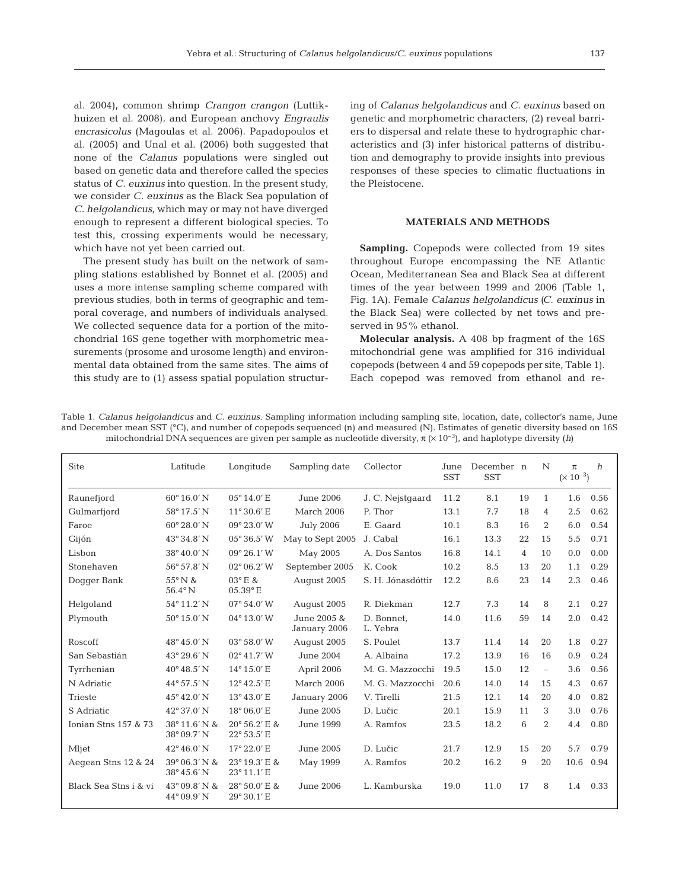al. 2004), common shrimp *Crangon crangon* (Luttik huizen et al. 2008), and European anchovy *Engraulis encrasicolus* (Magoulas et al. 2006). Papadopoulos et al. (2005) and Unal et al. (2006) both suggested that none of the *Calanus* populations were singled out based on genetic data and therefore called the species status of *C. euxinus* into question. In the present study, we consider *C. euxinus* as the Black Sea population of *C. helgolandicus*, which may or may not have diverged enough to represent a different biological species. To test this, crossing experiments would be necessary, which have not yet been carried out.

The present study has built on the network of sampling stations established by Bonnet et al. (2005) and uses a more intense sampling scheme compared with previous studies, both in terms of geographic and temporal coverage, and numbers of individuals analysed. We collected sequence data for a portion of the mitochondrial 16S gene together with morphometric measurements (prosome and urosome length) and environmental data obtained from the same sites. The aims of this study are to (1) assess spatial population structuring of *Calanus helgolandicus* and *C. euxinus* based on genetic and morphometric characters, (2) reveal barriers to dispersal and relate these to hydrographic characteristics and (3) infer historical patterns of distribution and demography to provide insights into previous responses of these species to climatic fluctuations in the Pleistocene.

# **MATERIALS AND METHODS**

**Sampling.** Copepods were collected from 19 sites throughout Europe encompassing the NE Atlantic Ocean, Mediterranean Sea and Black Sea at different times of the year between 1999 and 2006 (Table 1, Fig. 1A). Female *Calanus helgolandicus (C. euxinus* in the Black Sea) were collected by net tows and preserved in 95% ethanol.

**Molecular analysis.** A 408 bp fragment of the 16S mito chondrial gene was amplified for 316 individual cope pods (between 4 and 59 copepods per site, Table 1). Each copepod was removed from ethanol and re-

Table 1. *Calanus helgolandicus* and *C. euxinus*. Sampling information including sampling site, location, date, collector's name, June and December mean SST (°C), and number of copepods sequenced (n) and measured (N). Estimates of genetic diversity based on 16S mitochondrial DNA sequences are given per sample as nucleotide diversity, π (× 10–3), and haplotype diversity (*h)*

| <b>Site</b>           | Latitude                              | Longitude                    | Sampling date               | Collector              | June<br><b>SST</b> | December n<br><b>SST</b> |    | $\mathbb{N}$   | $\pi$<br>$(\times 10^{-3})$ | h    |
|-----------------------|---------------------------------------|------------------------------|-----------------------------|------------------------|--------------------|--------------------------|----|----------------|-----------------------------|------|
| Raunefjord            | $60^{\circ} 16.0' N$                  | 05°14.0'E                    | June 2006                   | J. C. Nejstgaard       | 11.2               | 8.1                      | 19 | $\mathbf{1}$   | 1.6                         | 0.56 |
| Gulmarfjord           | 58° 17.5' N                           | $11^{\circ}30.6'$ E          | March 2006                  | P. Thor                | 13.1               | 7.7                      | 18 | 4              | 2.5                         | 0.62 |
| Faroe                 | $60^{\circ} 28.0' N$                  | 09° 23.0' W                  | <b>July 2006</b>            | E. Gaard               | 10.1               | 8.3                      | 16 | 2              | 6.0                         | 0.54 |
| Gijón                 | 43° 34.8' N                           | $05^{\circ}36.5'$ W          | May to Sept 2005            | J. Cabal               | 16.1               | 13.3                     | 22 | 15             | 5.5                         | 0.71 |
| Lisbon                | 38°40.0'N                             | $09^{\circ} 26.1' W$         | May 2005                    | A. Dos Santos          | 16.8               | 14.1                     | 4  | 10             | 0.0                         | 0.00 |
| Stonehaven            | 56° 57.8' N                           | $02^{\circ}06.2'$ W          | September 2005              | K. Cook                | 10.2               | 8.5                      | 13 | 20             | 1.1                         | 0.29 |
| Dogger Bank           | 55°N&<br>$56.4^{\circ}$ N             | 03°E &<br>$05.39$ °E         | August 2005                 | S. H. Jónasdóttir      | 12.2               | 8.6                      | 23 | 14             | 2.3                         | 0.46 |
| Helgoland             | 54° 11.2' N                           | $07^{\circ} 54.0' W$         | August 2005                 | R. Diekman             | 12.7               | 7.3                      | 14 | 8              | 2.1                         | 0.27 |
| Plymouth              | $50^{\circ}$ 15.0' N                  | $04^{\circ} 13.0' W$         | June 2005 &<br>January 2006 | D. Bonnet.<br>L. Yebra | 14.0               | 11.6                     | 59 | 14             | 2.0                         | 0.42 |
| Roscoff               | $48^{\circ}45.0'$ N                   | 03° 58.0' W                  | August 2005                 | S. Poulet              | 13.7               | 11.4                     | 14 | 20             | 1.8                         | 0.27 |
| San Sebastián         | $43^{\circ} 29.6' N$                  | $02^{\circ}41.7'$ W          | June 2004                   | A. Albaina             | 17.2               | 13.9                     | 16 | 16             | 0.9                         | 0.24 |
| Tyrrhenian            | $40^{\circ} 48.5' N$                  | 14°15.0'E                    | April 2006                  | M. G. Mazzocchi        | 19.5               | 15.0                     | 12 | $\equiv$       | 3.6                         | 0.56 |
| N Adriatic            | $44^{\circ}57.5'$ N                   | $12^{\circ}42.5'$ E          | March 2006                  | M. G. Mazzocchi        | 20.6               | 14.0                     | 14 | 15             | 4.3                         | 0.67 |
| <b>Trieste</b>        | $45^{\circ} 42.0' N$                  | $13^{\circ}43.0' E$          | January 2006                | V. Tirelli             | 21.5               | 12.1                     | 14 | 20             | 4.0                         | 0.82 |
| S Adriatic            | 42° 37.0' N                           | 18° 06.0' E                  | June 2005                   | D. Lučic               | 20.1               | 15.9                     | 11 | 3              | 3.0                         | 0.76 |
| Ionian Stns 157 & 73  | 38°11.6' N &<br>$38^{\circ}$ 09.7' N  | 20° 56.2' E &<br>22° 53.5' E | June 1999                   | A. Ramfos              | 23.5               | 18.2                     | 6  | $\overline{2}$ | 4.4                         | 0.80 |
| Mljet                 | 42°46.0'N                             | 17° 22.0' E                  | June 2005                   | D. Lučic               | 21.7               | 12.9                     | 15 | 20             | 5.7                         | 0.79 |
| Aegean Stns 12 & 24   | 39° 06.3' N &<br>38° 45.6' N          | 23° 19.3' E &<br>23° 11.1' E | May 1999                    | A. Ramfos              | 20.2               | 16.2                     | 9  | 20             | 10.6                        | 0.94 |
| Black Sea Stns i & vi | 43° 09.8' N &<br>$44^{\circ}$ 09.9' N | 28° 50.0' E &<br>29° 30.1' E | June 2006                   | L. Kamburska           | 19.0               | 11.0                     | 17 | 8              | 1.4                         | 0.33 |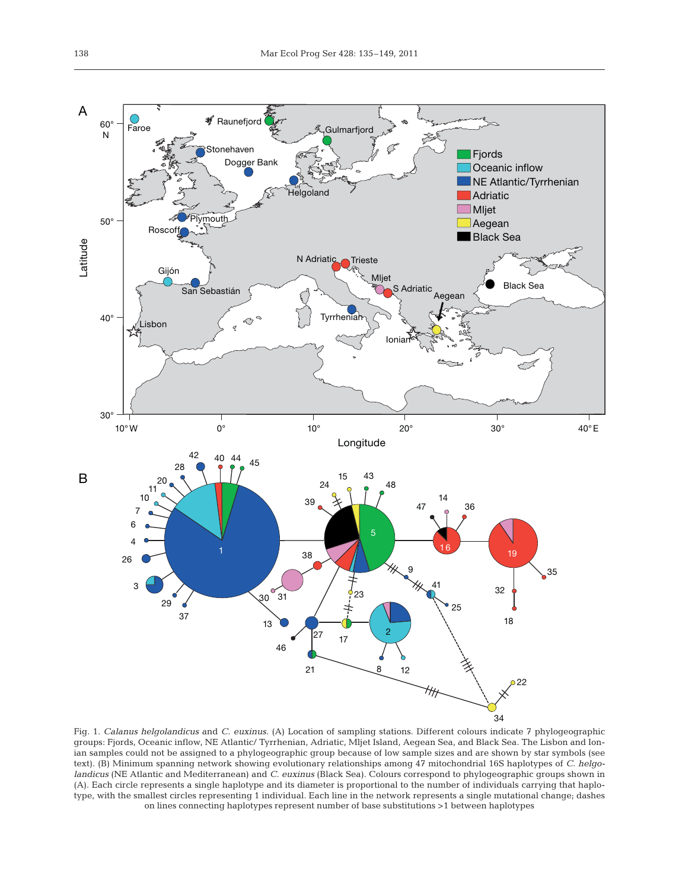

Fig. 1. *Calanus helgolandicus* and *C. euxinus.* (A) Location of sampling stations. Different colours indicate 7 phylogeographic groups: Fjords, Oceanic inflow, NE Atlantic/ Tyrrhenian, Adriatic, Mljet Island, Aegean Sea, and Black Sea. The Lisbon and Ionian samples could not be assigned to a phylogeographic group because of low sample sizes and are shown by star symbols (see text). (B) Minimum spanning network showing evolutionary relationships among 47 mitochondrial 16S haplotypes of *C. helgolandicus* (NE Atlantic and Mediterranean) and *C. euxinus* (Black Sea). Colours correspond to phylogeographic groups shown in (A). Each circle represents a single haplotype and its diameter is proportional to the number of individuals carrying that haplotype, with the smallest circles representing 1 individual. Each line in the network represents a single mutational change; dashes on lines connecting haplotypes represent number of base substitutions >1 between haplotypes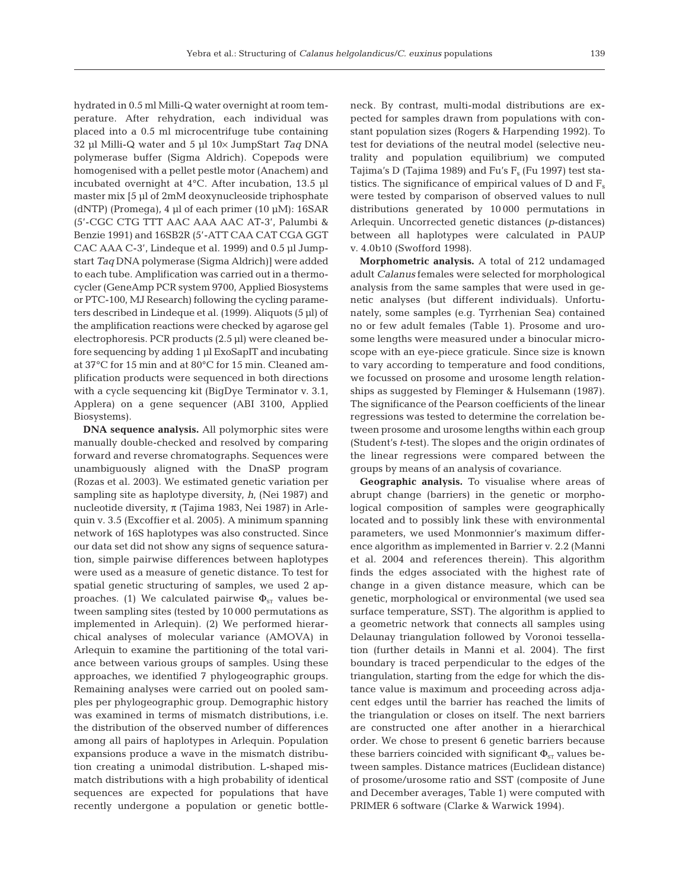hydrated in 0.5 ml Milli-Q water overnight at room temperature. After rehydration, each individual was placed into a 0.5 ml microcentrifuge tube containing 32 µl Milli-Q water and 5 µl 10× JumpStart *Taq* DNA polymerase buffer (Sigma Aldrich). Copepods were homogenised with a pellet pestle motor (Anachem) and incubated overnight at 4°C. After incubation, 13.5 µl master mix [5 µl of 2mM deoxynucleoside triphosphate (dNTP) (Promega), 4 µl of each primer  $(10 \mu M)$ : 16SAR (5'-CGC CTG TTT AAC AAA AAC AT-3', Palumbi & Benzie 1991) and 16SB2R (5'-ATT CAA CAT CGA GGT CAC AAA C-3', Lindeque et al. 1999) and 0.5 µl Jumpstart *Taq* DNA polymerase (Sigma Aldrich)] were added to each tube. Amplification was carried out in a thermocycler (GeneAmp PCR system 9700, Applied Biosystems or PTC-100, MJ Research) following the cycling parameters described in Lindeque et al. (1999). Aliquots (5 µl) of the amplification reactions were checked by agarose gel electrophoresis. PCR products (2.5 µl) were cleaned before sequencing by adding 1 µl ExoSapIT and incubating at 37°C for 15 min and at 80°C for 15 min. Cleaned amplification products were sequenced in both directions with a cycle sequencing kit (BigDye Terminator v. 3.1, Applera) on a gene sequencer (ABI 3100, Applied Biosystems).

**DNA sequence analysis.** All polymorphic sites were manually double-checked and resolved by comparing forward and reverse chromatographs. Sequences were un ambiguously aligned with the DnaSP program (Rozas et al. 2003). We estimated genetic variation per sampling site as haplotype diversity, *h*, (Nei 1987) and nucleotide diversity,  $π$  (Tajima 1983, Nei 1987) in Arlequin v. 3.5 (Excoffier et al. 2005). A minimum spanning network of 16S haplotypes was also constructed. Since our data set did not show any signs of sequence saturation, simple pairwise differences between haplotypes were used as a measure of genetic distance. To test for spatial genetic structuring of samples, we used 2 approaches. (1) We calculated pairwise  $\Phi_{ST}$  values between sampling sites (tested by 10 000 permutations as implemented in Arlequin). (2) We performed hierar chical analyses of molecular variance (AMOVA) in Arlequin to examine the partitioning of the total variance between various groups of samples. Using these approaches, we identified 7 phylogeographic groups. Remaining analyses were carried out on pooled samples per phylogeographic group. Demographic history was examined in terms of mismatch distributions, i.e. the distribution of the observed number of differences among all pairs of haplotypes in Arlequin. Population expansions produce a wave in the mismatch distribution creating a unimodal distribution. L-shaped mismatch distributions with a high probability of identical sequences are expected for populations that have recently undergone a population or genetic bottleneck. By contrast, multi-modal distributions are expected for samples drawn from populations with constant population sizes (Rogers & Harpending 1992). To test for deviations of the neutral model (selective neutrality and population equilibrium) we computed Tajima's D (Tajima 1989) and Fu's  $F_s$  (Fu 1997) test statistics. The significance of empirical values of  $D$  and  $F_s$ were tested by comparison of observed values to null distributions generated by 10 000 permutations in Arlequin. Uncorrected genetic distances *(p*-distances) between all haplotypes were calculated in PAUP v. 4.0b10 (Swofford 1998).

**Morphometric analysis.** A total of 212 undamaged adult *Calanus* females were selected for morphological analysis from the same samples that were used in genetic analyses (but different individuals). Unfortunately, some samples (e.g. Tyrrhenian Sea) contained no or few adult females (Table 1). Prosome and urosome lengths were measured under a binocular microscope with an eye-piece graticule. Since size is known to vary according to temperature and food conditions, we focussed on prosome and urosome length relationships as suggested by Fleminger & Hulsemann (1987). The significance of the Pearson coefficients of the linear regressions was tested to determine the correlation between prosome and urosome lengths within each group (Student's *t*-test). The slopes and the origin ordinates of the linear regressions were compared between the groups by means of an analysis of covariance.

**Geographic analysis.** To visualise where areas of abrupt change (barriers) in the genetic or morphological composition of samples were geographically located and to possibly link these with environmental parameters, we used Monmonnier's maximum difference algorithm as implemented in Barrier v. 2.2 (Manni et al. 2004 and references therein). This algorithm finds the edges associated with the highest rate of change in a given distance measure, which can be genetic, morphological or environmental (we used sea surface temperature, SST). The algorithm is applied to a geometric network that connects all samples using Delaunay triangulation followed by Voronoi tessellation (further details in Manni et al. 2004). The first boundary is traced perpendicular to the edges of the triangulation, starting from the edge for which the distance value is maximum and proceeding across adjacent edges until the barrier has reached the limits of the triangulation or closes on itself. The next barriers are constructed one after another in a hierarchical order. We chose to present 6 genetic barriers because these barriers coincided with significant  $\Phi_{ST}$  values between samples. Distance matrices (Euclidean distance) of prosome/urosome ratio and SST (composite of June and December averages, Table 1) were computed with PRIMER 6 software (Clarke & Warwick 1994).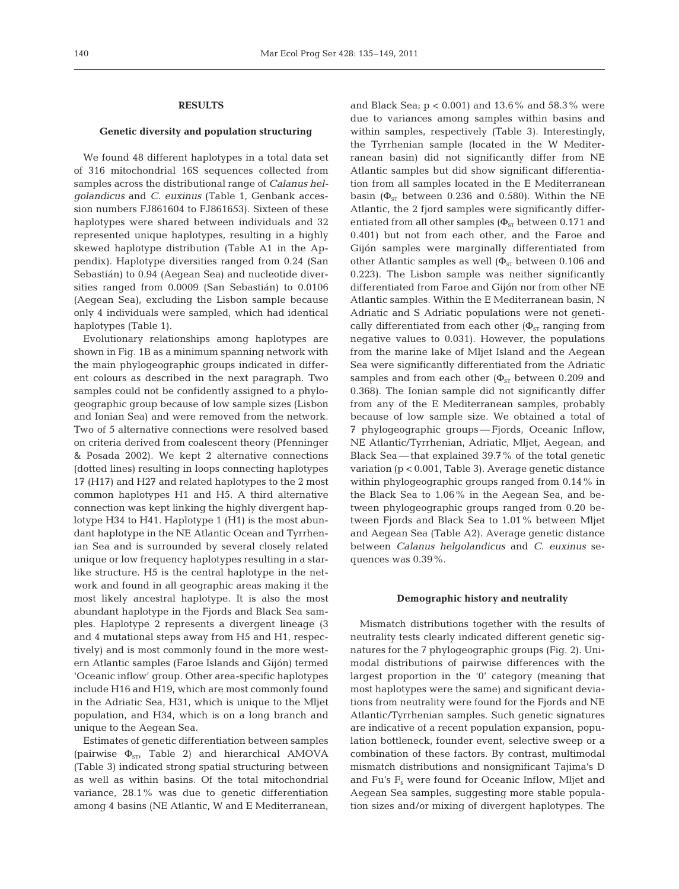## **RESULTS**

## **Genetic diversity and population structuring**

We found 48 different haplotypes in a total data set of 316 mitochondrial 16S sequences collected from samples across the distributional range of *Calanus helgolandicus* and *C. euxinus* (Table 1, Genbank accession numbers FJ861604 to FJ861653). Sixteen of these haplotypes were shared between individuals and 32 represented unique haplotypes, resulting in a highly skewed haplotype distribution (Table A1 in the Appendix). Haplotype diversities ranged from 0.24 (San Sebastián) to 0.94 (Aegean Sea) and nucleotide diversities ranged from 0.0009 (San Sebastián) to 0.0106 (Aegean Sea), excluding the Lisbon sample because only 4 individuals were sampled, which had identical haplotypes (Table 1).

Evolutionary relationships among haplotypes are shown in Fig. 1B as a minimum spanning network with the main phylogeographic groups indicated in different colours as described in the next paragraph. Two samples could not be confidently assigned to a phylogeographic group because of low sample sizes (Lisbon and Ionian Sea) and were removed from the network. Two of 5 alternative connections were resolved based on criteria derived from coalescent theory (Pfenninger & Posada 2002). We kept 2 alternative connections (dotted lines) resulting in loops connecting haplotypes 17 (H17) and H27 and related haplotypes to the  $2 \text{ most}$ common haplotypes H1 and H5. A third alternative connection was kept linking the highly divergent haplotype H34 to H41. Haplotype 1 (H1) is the most abundant haplotype in the NE Atlantic Ocean and Tyrrhenian Sea and is surrounded by several closely related unique or low frequency haplotypes resulting in a starlike structure. H5 is the central haplotype in the network and found in all geographic areas making it the most likely ancestral haplotype. It is also the most abundant haplotype in the Fjords and Black Sea samples. Haplotype 2 represents a divergent lineage (3 and 4 mutational steps away from H5 and H1, respectively) and is most commonly found in the more western Atlantic samples (Faroe Islands and Gijón) termed 'Oceanic inflow' group. Other area-specific haplotypes include H16 and H19, which are most commonly found in the Adriatic Sea, H31, which is unique to the Mljet population, and H34, which is on a long branch and unique to the Aegean Sea.

Estimates of genetic differentiation between samples (pairwise  $\Phi_{ST}$ , Table 2) and hierarchical AMOVA (Table 3) indicated strong spatial structuring between as well as within basins. Of the total mitochondrial variance, 28.1% was due to genetic differentiation among 4 basins (NE Atlantic, W and E Mediterranean,

and Black Sea;  $p < 0.001$ ) and 13.6% and 58.3% were due to variances among samples within basins and within samples, respectively (Table 3). Interestingly, the Tyrrhenian sample (located in the W Mediterranean basin) did not significantly differ from NE Atlantic samples but did show significant differentiation from all samples located in the E Mediterranean basin ( $\Phi_{ST}$  between 0.236 and 0.580). Within the NE Atlantic, the 2 fjord samples were significantly differentiated from all other samples ( $\Phi_{ST}$  between 0.171 and 0.401) but not from each other, and the Faroe and Gijón samples were marginally differentiated from other Atlantic samples as well  $(\Phi_{ST})$  between 0.106 and 0.223). The Lisbon sample was neither significantly differentiated from Faroe and Gijón nor from other NE Atlantic samples. Within the E Mediterranean basin, N Adriatic and S Adriatic populations were not genetically differentiated from each other ( $\Phi_{ST}$  ranging from negative values to 0.031). However, the populations from the marine lake of Mljet Island and the Aegean Sea were significantly differentiated from the Adriatic samples and from each other ( $\Phi_{ST}$  between 0.209 and 0.368). The Ionian sample did not significantly differ from any of the E Mediterranean samples, probably because of low sample size. We obtained a total of 7 phylogeographic groups — Fjords, Oceanic Inflow, NE Atlantic/Tyrrhenian, Adriatic, Mljet, Aegean, and Black Sea — that explained 39.7% of the total genetic variation (p < 0.001, Table 3). Average genetic distance within phylogeographic groups ranged from 0.14% in the Black Sea to 1.06% in the Aegean Sea, and be tween phylogeographic groups ranged from 0.20 be tween Fjords and Black Sea to 1.01% between Mljet and Aegean Sea (Table A2). Average genetic distance be tween *Calanus helgolandicus* and *C. euxinus* se quences was 0.39%.

## **Demographic history and neutrality**

Mismatch distributions together with the results of neutrality tests clearly indicated different genetic signatures for the 7 phylogeographic groups (Fig. 2). Unimodal distributions of pairwise differences with the largest proportion in the '0' category (meaning that most haplotypes were the same) and significant deviations from neutrality were found for the Fjords and NE Atlantic/Tyrrhenian samples. Such genetic signatures are indicative of a recent population expansion, population bottleneck, founder event, selective sweep or a combination of these factors. By contrast, multimodal mismatch distributions and nonsignificant Tajima's D and Fu's  $F_s$  were found for Oceanic Inflow, Mljet and Aegean Sea samples, suggesting more stable population sizes and/or mixing of divergent haplotypes. The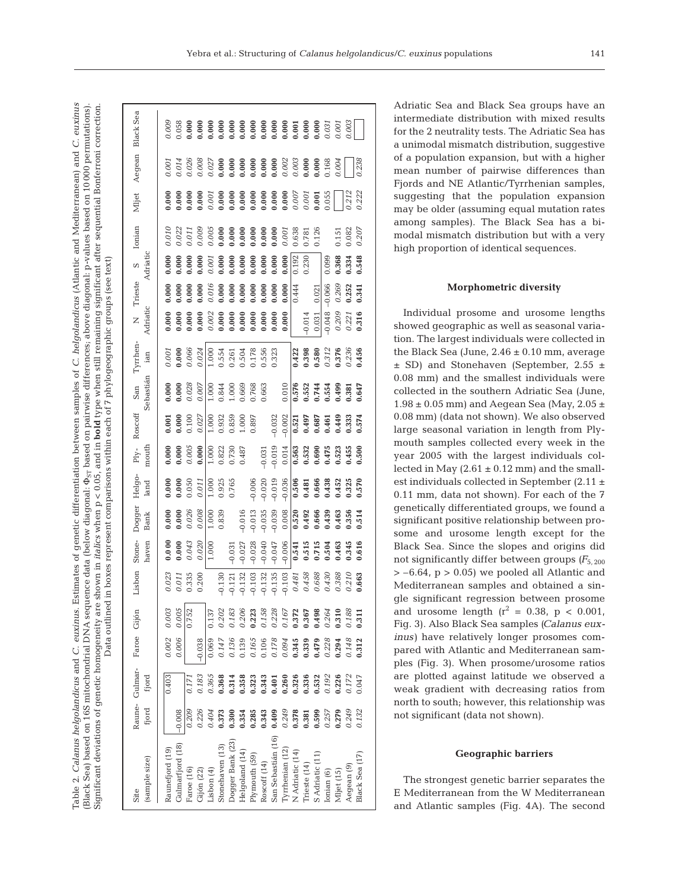Table 2. Calanus helgolandicus and C. euxinus. Estimates of genetic differentiation between samples of C. helgolandicus (Atlantic and Mediterranean) and C. euxinus Significant deviations of genetic homogeneity are shown in *italics* when p < 0.05, and in **bold** type when still remaining significant after sequential Bonferroni correction. Table 2. *Calanus helgolandicus* and *C. euxinus*. Estimates of genetic differentiation between samples of *C. helgolandicus* (Atlantic and Mediterranean) and *C. euxinus* (Black Sea) based on 16S mitochondrial DNA sequence data (below diagonal: Φ<sub>ST</sub> based on pairwise differences; above diagonal: p-values based on 10000 permutations).  $\mathrm{Singular}$  deviations of genetic homogeneity are shown in *italics* when  $\mathrm{p}<0.05$ , and in **bold** type when still remaining significant after sequential Bonferroni correction.  $\Phi_{\rm ST}$  based on pairwise differences; above diagonal: p-values based on 10 000 permutations). Data outlined in boxes represent comparisons within each of 7 phylogeographic groups (see text) Data outlined in boxes represent comparisons within each of 7 phylogeographic groups (see text)(Black Sea) based on 16S mitochondrial DNA sequence data (below diagonal:

| <b>Black Sea</b>           | 0.005                               | $\begin{array}{r} 0.053 \\ 0.000 \\ 0.000 \\ 0.000 \\ 0.000 \\ 0.000 \\ 0.000 \\ 0.000 \\ 0.000 \\ 0.000 \\ 0.000 \\ 0.000 \\ 0.000 \\ 0.000 \\ 0.000 \\ 0.000 \\ 0.000 \\ 0.000 \\ 0.001 \\ 0.001 \\ 0.001 \\ 0.001 \\ 0.001 \\ 0.001 \\ 0.000 \\ 0.001 \\ 0.001 \\ 0.001 \\ 0.001 \\ 0.000 \\ 0.$ |                 |                                                        |                 |                  |                                                                                                                                                                                                                                                                       |               |              |                    |                 |                             |                    |                 |            |                |                       |                |
|----------------------------|-------------------------------------|-----------------------------------------------------------------------------------------------------------------------------------------------------------------------------------------------------------------------------------------------------------------------------------------------------|-----------------|--------------------------------------------------------|-----------------|------------------|-----------------------------------------------------------------------------------------------------------------------------------------------------------------------------------------------------------------------------------------------------------------------|---------------|--------------|--------------------|-----------------|-----------------------------|--------------------|-----------------|------------|----------------|-----------------------|----------------|
| Aegean                     | 0.001<br>0.014                      | 0.026                                                                                                                                                                                                                                                                                               | 0.006           | $\begin{array}{c} 0.027 \\ 0.000 \\ 0.000 \end{array}$ |                 |                  | $\begin{array}{l} 0.000\\ 0.000\\ 0.000\\ 0.000\\ 0.001\\ 0.002\\ 0.003\\ 0.000\\ 0.000\\ 0.000\\ \end{array}$                                                                                                                                                        |               |              |                    |                 |                             |                    |                 | 0.168      | 0.004          |                       | 0.238          |
| Mljet                      | 000.0                               | 0.000                                                                                                                                                                                                                                                                                               |                 | 0.0000                                                 |                 |                  | $\begin{array}{l} 0.000\\ 0.000\\ 0.000\\ 0.000\\ 0.000\\ 0.000\\ 0.000\\ 0.000\\ 0.007\\ 0.007\\ 0.001\\ 0.001\\ 0.001\\ 0.001\\ 0.001\\ 0.001\\ 0.001\\ 0.001\\ 0.001\\ 0.001\\ 0.001\\ 0.001\\ 0.000\\ 0.000\\ 0.000\\ 0.001\\ 0.001\\ 0.000\\ 0.000\\ 0.000\\ 0.$ |               |              |                    |                 |                             |                    | 0.001           | 0.055      |                | 0.212                 | 0.222          |
| Ionian                     | $0.010\,$<br>0.022                  | 0.01                                                                                                                                                                                                                                                                                                | 0.005           | 0.005                                                  | 0.000           | 0.000            | 0.000                                                                                                                                                                                                                                                                 | 0.000         | 0.0000       |                    | 0.001           | 0.638                       | 0.781              | 0.126           |            | 0.151          | 0.82                  | 0.207          |
| Adriatic<br>$\infty$       | 0.000<br>0.000                      | 0.000                                                                                                                                                                                                                                                                                               | 000.1           | 0.001                                                  | 0.000           | 0.000            | 0.000                                                                                                                                                                                                                                                                 | 0.000         | 0.000        | 0.000              | 0.000           | 0.192                       | 0.230              |                 | 0.099      | 0.368          | 0.334                 | 0.548          |
| Trieste                    | 0.000<br>0.000                      | 0.000                                                                                                                                                                                                                                                                                               | 0.000           | 0.016                                                  | 0.000           | 0.000            | 0.000                                                                                                                                                                                                                                                                 | 0.000         | 0.000        | 0.000              | 0.000           | 0.444                       |                    | 0.021           | $-0.066$   | 0.269<br>0.252 |                       | 0.341          |
| Adriatic<br>$\overline{z}$ | 0.000<br>0.000                      | 0.000                                                                                                                                                                                                                                                                                               | 0.000           | 0.002                                                  | 0.000           | 0.000            | 0.000                                                                                                                                                                                                                                                                 | 0.000         | 0.000        | 0.000              | 0.000           |                             | $-0.014$           | 0.031           | $-0.048$   | $0.209\,$      | 0.221                 | 0.316          |
| Tyrrhen-<br>ian            | 0.001                               | $0.000$<br>$0.066$                                                                                                                                                                                                                                                                                  | 0.024           | 1.000                                                  | 0.554           | 0.261            | 0.504                                                                                                                                                                                                                                                                 | 0.178         | 0.556        | 0.323              |                 |                             | $0.422$<br>$0.398$ | 0.580           | 0.312      | 0.376          | 0.236                 | 0.456          |
| Sebastián<br>San           | 0.000<br>0.000                      | 0.028                                                                                                                                                                                                                                                                                               | 0.007           | 1.000                                                  | 0.844           | 1.000            | 0.669                                                                                                                                                                                                                                                                 | 0.768         | 0.663        |                    | 0.010           | 0.576                       | 0.552              | 0.744           | 0.554      | 0.499          | 1.381                 | 1.647          |
| Roscoff                    | 0.000<br>0.001                      | 0.100                                                                                                                                                                                                                                                                                               | 0.027           | 1.000                                                  | 0.932           | 0.859            | 1.000                                                                                                                                                                                                                                                                 | 0.897         |              | $-0.032$           | $-0.002$        | 0.521                       | 0.497              | 0.687           | 0.461      | 0.449          | 1,333                 | 0.574          |
| mouth<br>$Ply-$            | 0.000<br>0.000                      | 0.005                                                                                                                                                                                                                                                                                               | 0.000           | 1.000                                                  | 0.822           | 0.730            | 0.487                                                                                                                                                                                                                                                                 |               | $-0.031$     | $-0.019$           | 0.014           | 6.563                       | $0.532$<br>$0.690$ |                 | 0.475      | 0.523<br>0.455 |                       | 0.500          |
| Helgo-<br>land             | 0.000<br>0.000                      | 0.050                                                                                                                                                                                                                                                                                               | 0.011           | 1.000                                                  | 0.925           | 0.765            |                                                                                                                                                                                                                                                                       | $-0.006$      | $-0.020$     | $-0.019$           | $-0.036$        | $\frac{6.506}{\frac{1}{2}}$ | 0.481              | 0.666           | 0.438      | 0.452          | 0.325                 | 0.570          |
| Dogger<br><b>Bank</b>      | 0.000<br>0.000                      | 0.026                                                                                                                                                                                                                                                                                               | 0.008           | 1.000                                                  | 0.839           |                  | $-0.016$                                                                                                                                                                                                                                                              | $-0.013$      | $-0.035$     | $-0.039$           | 0.008           | 0.520                       | 0.492              | 0.666           | 0.439      | 0.463          | 1.356                 | 0.514          |
| Stone-<br>haven            | 0.000<br>0.000                      | 0.043                                                                                                                                                                                                                                                                                               | 0.020           | 1.000                                                  |                 | $-0.031$         | $-0.027$                                                                                                                                                                                                                                                              | $-0.028$      | $-0.040$     | $-0.047$           | $-0.006$        | 0.541                       | 0.515              | 0.715           | 0.504      | 0.463          | 0.345                 | 0.616          |
| Lisbon                     | 0.023<br>0.011                      | 0.335                                                                                                                                                                                                                                                                                               | 0.200           |                                                        | 0.130           | $-0.121$         | $-0.132$                                                                                                                                                                                                                                                              | 0.103         | 0.132        | 0.135              | $0.103$         | $0.481\,$                   | 0.458              | $0.688\,$       | 0.430      | 0.388          | $0.210\,$             | 0.663          |
|                            | 0.003<br>0.005                      | 0.752                                                                                                                                                                                                                                                                                               |                 | 0.137                                                  | 0.202           | 0.183            | 0.206                                                                                                                                                                                                                                                                 | 0.223         | 0.158        | 0.228              | 0.167           | 0.372                       | 0.367              | 0.498           | 0.264      | 0.310          | 0.188                 | 0.311          |
| Faroe Gijón                | 0.006<br>0.002                      |                                                                                                                                                                                                                                                                                                     | $-0.038$        | 0.069                                                  | 0.147           | 0.136            | 0.139                                                                                                                                                                                                                                                                 | 0.165         | 0.106        | 0.178              | 0.094           | 0.345                       | 0.339              | 0.479           | 0.228      | 0.294          | 0.148                 | 0.312          |
| Raune- Gulmar-<br>fjord    | 0.403                               | 0.171                                                                                                                                                                                                                                                                                               | 0.183           | 0.365                                                  | 0.368           | 0.314            | 0.358                                                                                                                                                                                                                                                                 | 0.323         | 0.343        | 0.401              | 0.260           | 0.326                       | 0.336              | 0.532           | 0.192      | 0.226          | 0.172                 | 0.047          |
| fjord                      | $-0.008$                            | 0.209                                                                                                                                                                                                                                                                                               | 0.226           | 0.404                                                  | 0.373           | 0.300            | 0.354                                                                                                                                                                                                                                                                 | 0.285         | 0.343        | 0.409              | 0.249           | 0.378                       | 0.381              | 0.599           | 0.257      | 0.279          | 0.249                 | 0.132          |
| (sample size)<br>Site      | Gulmarfjord (18)<br>Raunefjord (19) | Faroe (16)                                                                                                                                                                                                                                                                                          | $Gij$ ón $(22)$ | Lisbon (4)                                             | Stonehaven (13) | Dogger Bank (23) | Helgoland (14)                                                                                                                                                                                                                                                        | Plymouth (59) | Roscoff (14) | San Sebastián (16) | Tyrrhenian (12) | N Adriatic (14)             | Trieste (14)       | S Adriatic (11) | Ionian (6) | Mljet (15)     | Aeqean <sub>(9)</sub> | Black Sea (17) |

Adriatic Sea and Black Sea groups have an intermediate distribution with mixed results for the 2 neutrality tests. The Adriatic Sea has a unimodal mismatch distribution, suggestive of a population expansion, but with a higher mean number of pairwise differences than Fjords and NE Atlantic/Tyrrhenian samples, suggesting that the population expansion may be older (assuming equal mutation rates among samples). The Black Sea has a bimodal mismatch distribution but with a very high proportion of identical sequences.

## **Morphometric diversity**

Individual prosome and urosome lengths showed geographic as well as seasonal variation. The largest individuals were collected in the Black Sea (June,  $2.46 \pm 0.10$  mm, average ± SD) and Stonehaven (September, 2.55 ± 0.08 mm) and the smallest individuals were collected in the southern Adriatic Sea (June,  $1.98 \pm 0.05$  mm) and Aegean Sea (May, 2.05  $\pm$ 0.08 mm) (data not shown). We also observed large seasonal variation in length from Plymouth samples collected every week in the year 2005 with the largest individuals collected in May  $(2.61 \pm 0.12 \text{ mm})$  and the smallest individuals collected in September (2.11 ± 0.11 mm, data not shown). For each of the 7 genetically differentiated groups, we found a significant positive relationship between prosome and urosome length except for the Black Sea. Since the slopes and origins did not significantly differ between groups *(F*5, 200  $> -6.64$ ,  $p > 0.05$ ) we pooled all Atlantic and Mediterranean samples and obtained a single significant regression between prosome and urosome length  $(r^2 = 0.38, p < 0.001,$ Fig. 3). Also Black Sea samples *(Calanus euxinus)* have relatively longer prosomes compared with Atlantic and Mediterranean samples (Fig. 3). When prosome/urosome ratios are plotted against latitude we observed a weak gradient with decreasing ratios from north to south; however, this relationship was not significant (data not shown).

## **Geographic barriers**

The strongest genetic barrier separates the E Mediterranean from the W Mediterranean and Atlantic samples (Fig. 4A). The second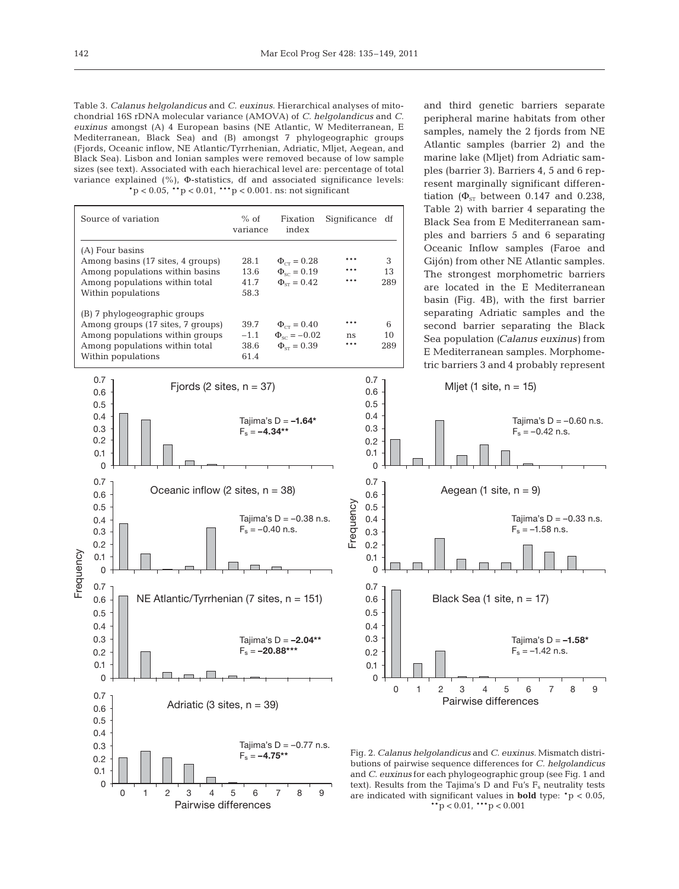Table 3. *Calanus helgolandicus* and *C. euxinus*. Hierarchical analyses of mitochondrial 16S rDNA molecular variance (AMOVA) of *C. helgolandicus* and *C. euxinus* amongst (A) 4 European basins (NE Atlantic, W Mediterranean, E Mediterranean, Black Sea) and (B) amongst 7 phylogeographic groups (Fjords, Oceanic inflow, NE Atlantic/Tyrrhenian, Adriatic, Mljet, Aegean, and Black Sea). Lisbon and Ionian samples were removed because of low sample sizes (see text). Associated with each hierachical level are: percentage of total variance explained (%), Φ-statistics, df and associated significance levels:  $*p < 0.05$ ,  $* p < 0.01$ ,  $* * p < 0.001$ . ns: not significant

| Source of variation                                                                                                                                          | $%$ of<br>variance             | Fixation<br>index                                                  | Significance df   |                |
|--------------------------------------------------------------------------------------------------------------------------------------------------------------|--------------------------------|--------------------------------------------------------------------|-------------------|----------------|
| (A) Four basins<br>Among basins (17 sites, 4 groups)<br>Among populations within basins<br>Among populations within total<br>Within populations              | 28.1<br>13.6<br>41.7<br>58.3   | $\Phi_{cr} = 0.28$<br>$\Phi_{sc} = 0.19$<br>$\Phi_{\rm cr} = 0.42$ | ***<br>***<br>*** | 3<br>13<br>289 |
| (B) 7 phylogeographic groups<br>Among groups (17 sites, 7 groups)<br>Among populations within groups<br>Among populations within total<br>Within populations | 39.7<br>$-1.1$<br>38.6<br>61.4 | $\Phi_{cr} = 0.40$<br>$\Phi_{sc} = -0.02$<br>$\Phi_{cr} = 0.39$    | ***<br>ns<br>***  | 6<br>10<br>289 |



and third genetic barriers separate peripheral marine habitats from other samples, namely the 2 fjords from NE Atlantic samples (barrier 2) and the marine lake (Mljet) from Adriatic samples (barrier 3). Barriers 4, 5 and 6 represent marginally significant differentiation ( $\Phi_{ST}$  between 0.147 and 0.238, Table 2) with barrier 4 separating the Black Sea from E Mediterranean samples and barriers 5 and 6 separating Oceanic Inflow samples (Faroe and Gijón) from other NE Atlantic samples. The strongest morphometric barriers are located in the E Mediterranean basin (Fig. 4B), with the first barrier separating Adriatic samples and the second barrier separating the Black Sea population *(Calanus euxinus)* from E Mediterranean samples. Morphometric barriers 3 and 4 probably represent



Fig. 2. *Calanus helgolandicus* and *C. euxinus*. Mismatch distributions of pairwise sequence differences for *C. helgolandicus* and *C. euxinus* for each phylogeographic group (see Fig. 1 and text). Results from the Tajima's D and Fu's  $F_s$  neutrality tests are indicated with significant values in **bold** type: \*p < 0.05,  $*$ \*p < 0.01, \*\*\*p < 0.001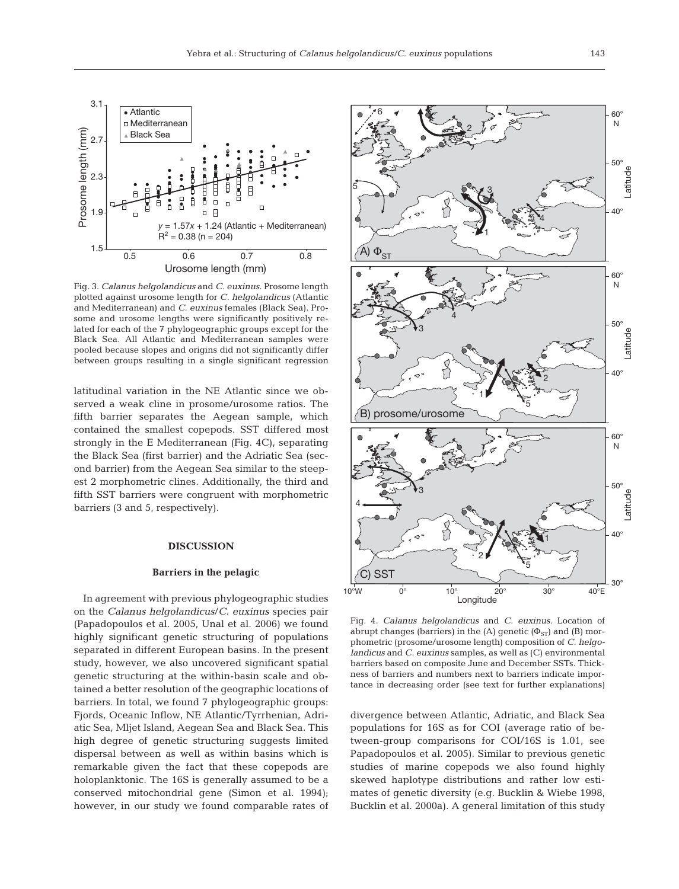

Fig. 3. *Calanus helgolandicus* and *C. euxinus*. Prosome length plotted against urosome length for *C. helgolandicus* (Atlantic and Mediterranean) and *C. euxinus* females (Black Sea). Prosome and urosome lengths were significantly positively related for each of the 7 phylogeographic groups except for the Black Sea. All Atlantic and Mediterranean samples were pooled because slopes and origins did not significantly differ between groups resulting in a single significant regression

latitudinal variation in the NE Atlantic since we ob served a weak cline in prosome/urosome ratios. The fifth barrier separates the Aegean sample, which contained the smallest copepods. SST differed most strongly in the E Mediterranean (Fig. 4C), separating the Black Sea (first barrier) and the Adriatic Sea (second barrier) from the Aegean Sea similar to the steepest 2 morphometric clines. Additionally, the third and fifth SST barriers were congruent with morphometric barriers (3 and 5, respectively).

## **DISCUSSION**

### **Barriers in the pelagic**

In agreement with previous phylogeographic studies on the *Calanus helgolandicus*/*C. euxinus* species pair (Papadopoulos et al. 2005, Unal et al. 2006) we found highly significant genetic structuring of populations separated in different European basins. In the present study, however, we also uncovered significant spatial genetic structuring at the within-basin scale and ob tained a better resolution of the geographic locations of barriers. In total, we found 7 phylogeographic groups: Fjords, Oceanic Inflow, NE Atlantic/Tyrrhenian, Adriatic Sea, Mljet Island, Aegean Sea and Black Sea. This high degree of genetic structuring suggests limited dispersal between as well as within basins which is remarkable given the fact that these copepods are holoplanktonic. The 16S is generally assumed to be a conserved mitochondrial gene (Simon et al. 1994); however, in our study we found comparable rates of



Fig. 4. *Calanus helgolandicus* and *C. euxinus*. Location of abrupt changes (barriers) in the (A) genetic ( $\Phi_{ST}$ ) and (B) morphometric (prosome/urosome length) composition of *C. helgolandicus* and *C. euxinus* samples, as well as (C) environmental barriers based on composite June and December SSTs. Thickness of barriers and numbers next to barriers indicate importance in decreasing order (see text for further explanations)

divergence between Atlantic, Adriatic, and Black Sea populations for 16S as for COI (average ratio of be tween-group comparisons for COI/16S is 1.01, see Papadopoulos et al. 2005). Similar to previous genetic studies of marine copepods we also found highly skewed haplotype distributions and rather low estimates of genetic diversity (e.g. Bucklin & Wiebe 1998, Bucklin et al. 2000a). A general limitation of this study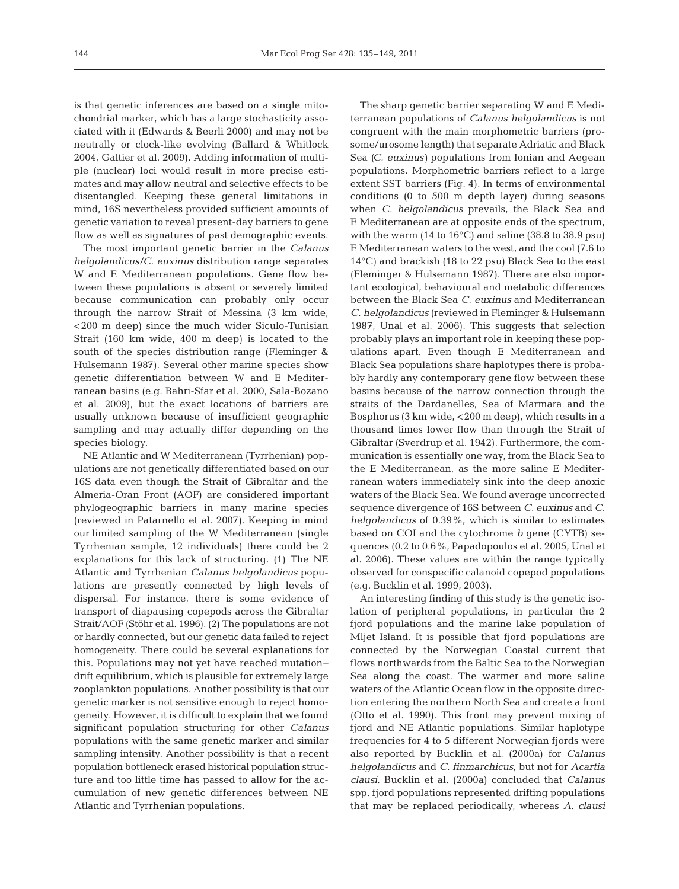is that genetic inferences are based on a single mitochondrial marker, which has a large stochasticity associated with it (Edwards & Beerli 2000) and may not be neutrally or clock-like evolving (Ballard & Whitlock 2004, Galtier et al. 2009). Adding information of multiple (nuclear) loci would result in more precise estimates and may allow neutral and selective effects to be disentangled. Keeping these general limitations in mind, 16S nevertheless provided sufficient amounts of genetic variation to reveal present-day barriers to gene flow as well as signatures of past demographic events.

The most important genetic barrier in the *Calanus helgolandicus/C. euxinus* distribution range separates W and E Mediterranean populations. Gene flow between these populations is absent or severely limited be cause communication can probably only occur through the narrow Strait of Messina (3 km wide, <200 m deep) since the much wider Siculo-Tunisian Strait (160 km wide, 400 m deep) is located to the south of the species distribution range (Fleminger & Hulsemann 1987). Several other marine species show genetic differentiation between W and E Mediterranean basins (e.g. Bahri-Sfar et al. 2000, Sala-Bozano et al. 2009), but the exact locations of barriers are usually unknown because of insufficient geographic sampling and may actually differ depending on the species biology.

NE Atlantic and W Mediterranean (Tyrrhenian) populations are not genetically differentiated based on our 16S data even though the Strait of Gibraltar and the Almeria-Oran Front (AOF) are considered important phylogeographic barriers in many marine species (reviewed in Patarnello et al. 2007). Keeping in mind our limited sampling of the W Mediterranean (single Tyrrhenian sample, 12 individuals) there could be 2 explanations for this lack of structuring. (1) The NE Atlantic and Tyrrhenian *Calanus helgolandicus* popu lations are presently connected by high levels of dispersal. For instance, there is some evidence of transport of diapausing copepods across the Gibraltar Strait/ AOF (Stöhr et al. 1996). (2) The populations are not or hardly connected, but our genetic data failed to reject homogeneity. There could be several explanations for this. Populations may not yet have reached mutation– drift equilibrium, which is plausible for extremely large zooplankton populations. Another possibility is that our genetic marker is not sensitive enough to reject homogeneity. However, it is difficult to explain that we found significant population structuring for other *Calanus* populations with the same genetic marker and similar sampling intensity. Another possibility is that a recent population bottleneck erased historical population structure and too little time has passed to allow for the accumulation of new genetic differences between NE Atlantic and Tyrrhenian populations.

The sharp genetic barrier separating W and E Mediterranean populations of *Calanus helgolandicus* is not congruent with the main morphometric barriers (prosome/urosome length) that separate Adriatic and Black Sea *(C. euxinus)* populations from Ionian and Aegean populations. Morphometric barriers reflect to a large extent SST barriers (Fig. 4). In terms of environmental conditions (0 to 500 m depth layer) during seasons when *C. helgolandicus* prevails, the Black Sea and E Mediterranean are at opposite ends of the spectrum, with the warm (14 to 16°C) and saline (38.8 to 38.9 psu) E Mediterranean waters to the west, and the cool (7.6 to 14°C) and brackish (18 to 22 psu) Black Sea to the east (Fleminger & Hulsemann 1987). There are also important ecological, behavioural and metabolic differences between the Black Sea *C. euxinus* and Mediterranean *C. helgolandicus* (reviewed in Fleminger & Hulsemann 1987, Unal et al. 2006). This suggests that selection probably plays an important role in keeping these populations apart. Even though E Mediterranean and Black Sea populations share haplotypes there is probably hardly any contemporary gene flow between these basins because of the narrow connection through the straits of the Dardanelles, Sea of Marmara and the Bosphorus (3 km wide, <200 m deep), which results in a thousand times lower flow than through the Strait of Gibraltar (Sverdrup et al. 1942). Furthermore, the communication is essentially one way, from the Black Sea to the E Mediterranean, as the more saline E Mediterranean waters immediately sink into the deep anoxic waters of the Black Sea. We found average uncorrected sequence divergence of 16S between *C. euxinus* and *C. helgolandicus* of 0.39%, which is similar to estimates based on COI and the cytochrome *b* gene (CYTB) sequences (0.2 to 0.6%, Papadopoulos et al. 2005, Unal et al. 2006). These values are within the range typically observed for conspecific calanoid copepod populations (e.g. Bucklin et al. 1999, 2003).

An interesting finding of this study is the genetic isolation of peripheral populations, in particular the 2 fjord populations and the marine lake population of Mljet Island. It is possible that fjord populations are connected by the Norwegian Coastal current that flows northwards from the Baltic Sea to the Norwegian Sea along the coast. The warmer and more saline waters of the Atlantic Ocean flow in the opposite direction entering the northern North Sea and create a front (Otto et al. 1990). This front may prevent mixing of fjord and NE Atlantic populations. Similar haplotype frequencies for 4 to 5 different Norwegian fjords were also reported by Bucklin et al. (2000a) for *Calanus helgolandicus* and *C. finmarchicus*, but not for *Acartia clausi*. Bucklin et al. (2000a) concluded that *Calanus* spp. fjord populations represented drifting populations that may be replaced periodically, whereas *A. clausi*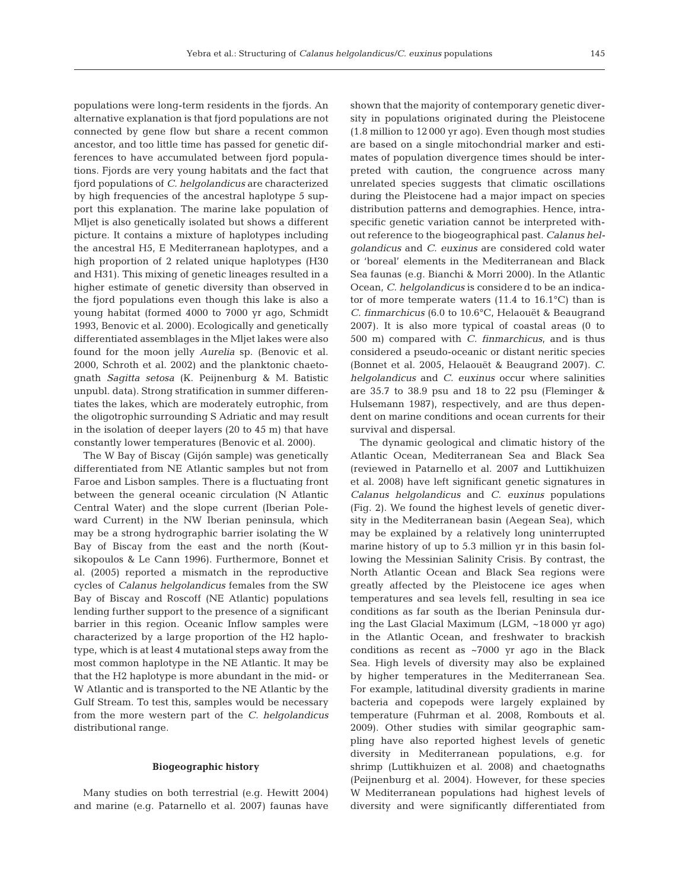populations were long-term residents in the fjords. An alternative explanation is that fjord populations are not connected by gene flow but share a recent common ancestor, and too little time has passed for genetic differences to have accumulated between fjord populations. Fjords are very young habitats and the fact that fjord populations of *C. helgolandicus* are characterized by high frequencies of the ancestral haplotype 5 support this explanation. The marine lake population of Mljet is also genetically isolated but shows a different picture. It contains a mixture of haplotypes including the ancestral H5, E Mediterranean haplotypes, and a high proportion of 2 related unique haplotypes (H30 and H31). This mixing of genetic lineages resulted in a higher estimate of genetic diversity than observed in the fjord populations even though this lake is also a young habitat (formed 4000 to 7000 yr ago, Schmidt 1993, Benovic et al. 2000). Ecologically and genetically differentiated assemblages in the Mljet lakes were also found for the moon jelly *Aurelia* sp. (Benovic et al. 2000, Schroth et al. 2002) and the planktonic chaetognath *Sagitta setosa* (K. Peijnenburg & M. Batistic unpubl. data). Strong stratification in summer differentiates the lakes, which are moderately eutrophic, from the oligotrophic surrounding S Adriatic and may result in the isolation of deeper layers (20 to 45 m) that have constantly lower temperatures (Benovic et al. 2000).

The W Bay of Biscay (Gijón sample) was genetically differentiated from NE Atlantic samples but not from Faroe and Lisbon samples. There is a fluctuating front between the general oceanic circulation (N Atlantic Central Water) and the slope current (Iberian Poleward Current) in the NW Iberian peninsula, which may be a strong hydrographic barrier isolating the W Bay of Biscay from the east and the north (Koutsikopoulos & Le Cann 1996). Furthermore, Bonnet et al. (2005) reported a mismatch in the reproductive cycles of *Calanus helgolandicus* females from the SW Bay of Biscay and Roscoff (NE Atlantic) populations lending further support to the presence of a significant barrier in this region. Oceanic Inflow samples were characterized by a large proportion of the H2 haplotype, which is at least 4 mutational steps away from the most common haplotype in the NE Atlantic. It may be that the H2 haplotype is more abundant in the mid- or W Atlantic and is transported to the NE Atlantic by the Gulf Stream. To test this, samples would be necessary from the more western part of the *C. helgolandicus* distributional range.

## **Biogeographic history**

Many studies on both terrestrial (e.g. Hewitt 2004) and marine (e.g. Patarnello et al. 2007) faunas have shown that the majority of contemporary genetic diversity in populations originated during the Pleistocene (1.8 million to 12 000 yr ago). Even though most studies are based on a single mitochondrial marker and estimates of population divergence times should be interpreted with caution, the congruence across many unrelated species suggests that climatic oscillations during the Pleistocene had a major impact on species distribution patterns and demographies. Hence, intraspecific genetic variation cannot be interpreted without reference to the biogeographical past. *Calanus helgolandicus* and *C. euxinus* are considered cold water or 'boreal' elements in the Mediterranean and Black Sea faunas (e.g. Bianchi & Morri 2000). In the Atlantic Ocean, *C. helgolandicus* is considere d to be an indicator of more temperate waters  $(11.4 \text{ to } 16.1^{\circ} \text{C})$  than is *C. finmarchicus* (6.0 to 10.6°C, Helaouët & Beaugrand 2007). It is also more typical of coastal areas (0 to 500 m) compared with *C. finmarchicus*, and is thus considered a pseudo-oceanic or distant neritic species (Bonnet et al. 2005, Helaouët & Beaugrand 2007). *C. helgolandicus* and *C. euxinus* occur where salinities are 35.7 to 38.9 psu and 18 to 22 psu (Fleminger & Hulsemann 1987), respectively, and are thus dependent on marine conditions and ocean currents for their survival and dispersal.

The dynamic geological and climatic history of the Atlantic Ocean, Mediterranean Sea and Black Sea (reviewed in Patarnello et al. 2007 and Luttikhuizen et al. 2008) have left significant genetic signatures in *Calanus helgolandicus* and *C. euxinus* populations (Fig. 2). We found the highest levels of genetic diversity in the Mediterranean basin (Aegean Sea), which may be explained by a relatively long uninterrupted marine history of up to 5.3 million yr in this basin following the Messinian Salinity Crisis. By contrast, the North Atlantic Ocean and Black Sea regions were greatly affected by the Pleistocene ice ages when temperatures and sea levels fell, resulting in sea ice conditions as far south as the Iberian Peninsula during the Last Glacial Maximum (LGM, ~18 000 yr ago) in the Atlantic Ocean, and freshwater to brackish conditions as recent as ~7000 yr ago in the Black Sea. High levels of diversity may also be explained by higher temperatures in the Mediterranean Sea. For example, latitudinal diversity gradients in marine bacteria and copepods were largely explained by temperature (Fuhrman et al. 2008, Rombouts et al. 2009). Other studies with similar geographic sampling have also reported highest levels of genetic diversity in Mediterranean populations, e.g. for shrimp (Luttikhuizen et al. 2008) and chaetognaths (Peijnenburg et al. 2004). However, for these species W Mediterranean populations had highest levels of diversity and were significantly differentiated from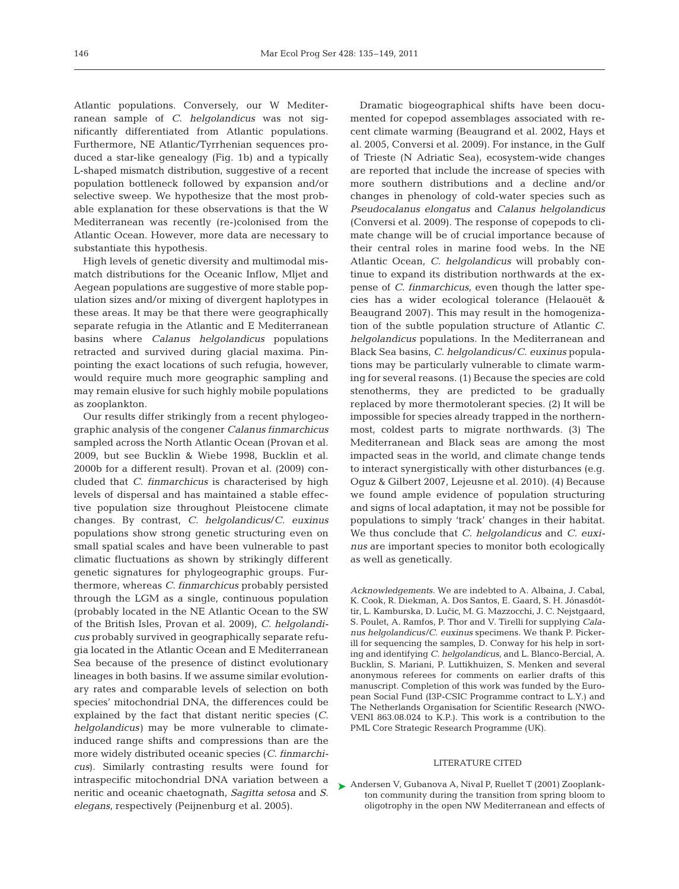Atlantic populations. Conversely, our W Mediterranean sample of *C. helgolandicus* was not significantly differentiated from Atlantic populations. Furthermore, NE Atlantic/Tyrrhenian sequences produced a star-like genealogy (Fig. 1b) and a typically L-shaped mismatch distribution, suggestive of a recent population bottleneck followed by expansion and/or selective sweep. We hypothesize that the most probable explanation for these observations is that the W Mediterranean was recently (re-)colonised from the Atlantic Ocean. However, more data are necessary to substantiate this hypothesis.

High levels of genetic diversity and multimodal mismatch distributions for the Oceanic Inflow, Mljet and Aegean populations are suggestive of more stable population sizes and/or mixing of divergent haplotypes in these areas. It may be that there were geographically separate refugia in the Atlantic and E Mediterranean basins where *Calanus helgolandicus* populations retracted and survived during glacial maxima. Pinpointing the exact locations of such refugia, however, would require much more geographic sampling and may remain elusive for such highly mobile populations as zooplankton.

Our results differ strikingly from a recent phylogeographic analysis of the congener *Calanus finmarchicus* sampled across the North Atlantic Ocean (Provan et al. 2009, but see Bucklin & Wiebe 1998, Bucklin et al. 2000b for a different result). Provan et al. (2009) concluded that *C. finmarchicus* is characterised by high levels of dispersal and has maintained a stable effective population size throughout Pleistocene climate changes. By contrast, *C. helgolandicus*/ *C. euxinus* populations show strong genetic structuring even on small spatial scales and have been vulnerable to past climatic fluctuations as shown by strikingly different genetic signatures for phylogeographic groups. Furthermore, whereas *C. finmarchicus* probably persisted through the LGM as a single, continuous population (probably located in the NE Atlantic Ocean to the SW of the British Isles, Provan et al. 2009), *C. helgolandicus* probably survived in geographically separate refugia located in the Atlantic Ocean and E Mediterranean Sea because of the presence of distinct evolutionary lineages in both basins. If we assume similar evolutionary rates and comparable levels of selection on both species' mitochondrial DNA, the differences could be explained by the fact that distant neritic species (*C. helgolandicus)* may be more vulnerable to climateinduced range shifts and compressions than are the more widely distributed oceanic species (*C. finmarchicus*). Similarly contrasting results were found for intraspecific mitochondrial DNA variation between a neritic and oceanic chaetognath, *Sagitta setosa* and *S. elegans*, respectively (Peijnenburg et al. 2005).

Dramatic biogeographical shifts have been documented for copepod assemblages associated with recent climate warming (Beaugrand et al. 2002, Hays et al. 2005, Conversi et al. 2009). For instance, in the Gulf of Trieste (N Adriatic Sea), ecosystem-wide changes are reported that include the increase of species with more southern distributions and a decline and/or changes in phenology of cold-water species such as *Pseudocalanus elongatus* and *Calanus helgolandicus* (Conversi et al. 2009). The response of copepods to climate change will be of crucial importance because of their central roles in marine food webs. In the NE Atlantic Ocean, *C. helgolandicus* will probably continue to expand its distribution northwards at the expense of *C. finmarchicus*, even though the latter species has a wider ecological tolerance (Helaouët & Beaugrand 2007). This may result in the homogenization of the subtle population structure of Atlantic *C. helgolandicus* populations. In the Mediterranean and Black Sea basins, *C. helgolandicus*/*C. euxinus* populations may be particularly vulnerable to climate warming for several reasons. (1) Because the species are cold stenotherms, they are predicted to be gradually replaced by more thermotolerant species. (2) It will be impossible for species already trapped in the northernmost, coldest parts to migrate northwards. (3) The Mediterranean and Black seas are among the most impacted seas in the world, and climate change tends to interact synergistically with other disturbances (e.g. Oguz & Gilbert 2007, Lejeusne et al. 2010). (4) Because we found ample evidence of population structuring and signs of local adaptation, it may not be possible for populations to simply 'track' changes in their habitat. We thus conclude that *C. helgolandicus* and *C. euxinus* are important species to monitor both ecologically as well as genetically.

*Acknowledgements.* We are indebted to A. Albaina, J. Cabal, K. Cook, R. Diekman, A. Dos Santos, E. Gaard, S. H. Jónasdóttir, L. Kamburska, D. Lučic, M. G. Mazzocchi, J. C. Nejstgaard, S. Poulet, A. Ramfos, P. Thor and V. Tirelli for supplying *Calanus helgolandicus/C. euxinus* specimens. We thank P. Pickerill for sequencing the samples, D. Conway for his help in sorting and identifying *C. helgolandicus*, and L. Blanco-Bercial, A. Bucklin, S. Mariani, P. Luttikhuizen, S. Menken and several anonymous referees for comments on earlier drafts of this manuscript. Completion of this work was funded by the European Social Fund (I3P-CSIC Programme contract to L.Y.) and The Netherlands Organisation for Scientific Research (NWO-VENI 863.08.024 to K.P.). This work is a contribution to the PML Core Strategic Research Programme (UK).

### LITERATURE CITED

▶ Andersen V, Gubanova A, Nival P, Ruellet T (2001) Zooplankton community during the transition from spring bloom to oligotrophy in the open NW Mediterranean and effects of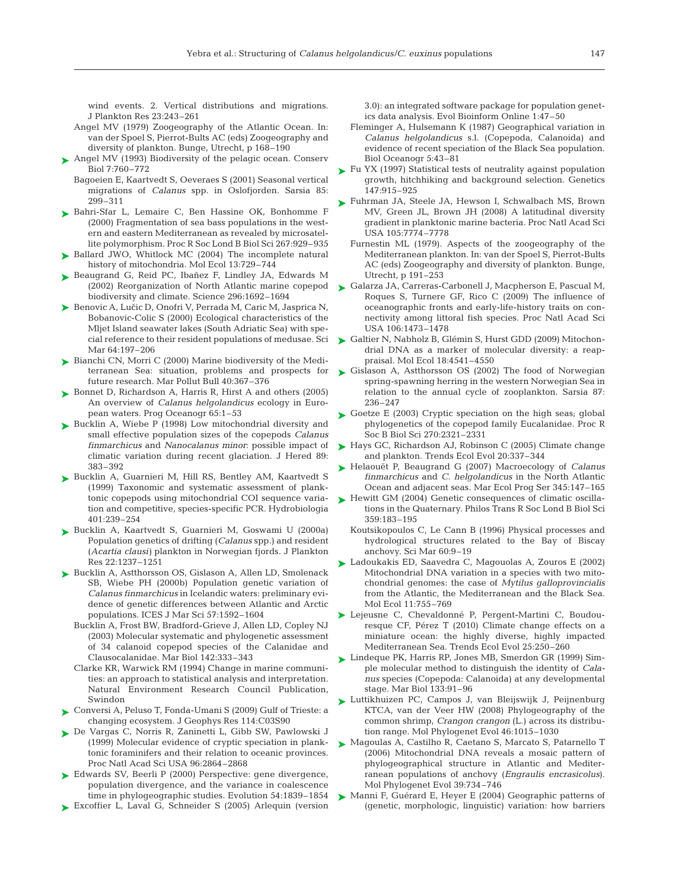wind events. 2. Vertical distributions and migrations. J Plankton Res 23:243–261

- Angel MV (1979) Zoogeography of the Atlantic Ocean. In: van der Spoel S, Pierrot-Bults AC (eds) Zoogeography and diversity of plankton. Bunge, Utrecht, p 168–190
- ► Angel MV (1993) Biodiversity of the pelagic ocean. Conserv Biol 7:760–772
	- Bagoeien E, Kaartvedt S, Oeveraes S (2001) Seasonal vertical migrations of *Calanus* spp. in Oslofjorden. Sarsia 85: 299–311
- ▶ Bahri-Sfar L, Lemaire C, Ben Hassine OK, Bonhomme F (2000) Fragmentation of sea bass populations in the western and eastern Mediterranean as revealed by microsatellite polymorphism. Proc R Soc Lond B Biol Sci 267:929-935
- ▶ Ballard JWO, Whitlock MC (2004) The incomplete natural history of mitochondria. Mol Ecol 13:729–744
- ► Beaugrand G, Reid PC, Ibañez F, Lindley JA, Edwards M (2002) Reorganization of North Atlantic marine copepod biodiversity and climate. Science 296:1692–1694
- ▶ Benovic A, Lučic D, Onofri V, Perrada M, Caric M, Jasprica N, Bobanovic-Colic S (2000) Ecological characteristics of the Mljet Island seawater lakes (South Adriatic Sea) with special reference to their resident populations of medusae. Sci Mar 64:197–206
- ► Bianchi CN, Morri C (2000) Marine biodiversity of the Mediterranean Sea: situation, problems and prospects for future research. Mar Pollut Bull 40:367–376
- ► Bonnet D, Richardson A, Harris R, Hirst A and others (2005) An overview of *Calanus helgolandicus* ecology in European waters. Prog Oceanogr 65:1–53
- ► Bucklin A, Wiebe P (1998) Low mitochondrial diversity and small effective population sizes of the copepods *Calanus finmarchicus* and *Nanocalanus minor*: possible impact of climatic variation during recent glaciation. J Hered 89: 383–392
- ▶ Bucklin A, Guarnieri M, Hill RS, Bentley AM, Kaartvedt S (1999) Taxonomic and systematic assessment of planktonic copepods using mitochondrial COI sequence variation and competitive, species-specific PCR. Hydrobiologia 401: 239–254
- Bucklin A, Kaartvedt S, Guarnieri M, Goswami U (2000a) ➤ Population genetics of drifting (*Calanus* spp.) and resident (*Acartia clausi)* plankton in Norwegian fjords. J Plankton Res 22:1237–1251
- ► Bucklin A, Astthorsson OS, Gislason A, Allen LD, Smolenack SB, Wiebe PH (2000b) Population genetic variation of *Calanus finmarchicus* in Icelandic waters: preliminary evidence of genetic differences between Atlantic and Arctic populations. ICES J Mar Sci 57:1592–1604
	- Bucklin A, Frost BW, Bradford-Grieve J, Allen LD, Copley NJ (2003) Molecular systematic and phylogenetic assessment of 34 calanoid copepod species of the Calanidae and Clauso calanidae. Mar Biol 142:333–343
	- Clarke KR, Warwick RM (1994) Change in marine communities: an approach to statistical analysis and interpretation. Natural Environment Research Council Publication, Swindon
- Conversi A, Peluso T, Fonda-Umani S (2009) Gulf of Trieste: a ➤ changing ecosystem. J Geophys Res 114:C03S90
- De Vargas C, Norris R, Zaninetti L, Gibb SW, Pawlowski J ➤ (1999) Molecular evidence of cryptic speciation in planktonic foraminifers and their relation to oceanic provinces. Proc Natl Acad Sci USA 96:2864–2868
- ► Edwards SV, Beerli P (2000) Perspective: gene divergence, population divergence, and the variance in coalescence time in phylogeographic studies. Evolution 54: 1839–1854
- ► Excoffier L, Laval G, Schneider S (2005) Arlequin (version

3.0): an integrated software package for population genetics data analysis. Evol Bioinform Online 1:47–50

- Fleminger A, Hulsemann K (1987) Geographical variation in *Calanus helgolandicus* s.l. (Copepoda, Calanoida) and evidence of recent speciation of the Black Sea population. Biol Oceanogr 5:43–81
- ► Fu YX (1997) Statistical tests of neutrality against population growth, hitchhiking and background selection. Genetics 147: 915–925
- ► Fuhrman JA, Steele JA, Hewson I, Schwalbach MS, Brown MV, Green JL, Brown JH (2008) A latitudinal diversity gradient in planktonic marine bacteria. Proc Natl Acad Sci USA 105:7774–7778
	- Furnestin ML (1979). Aspects of the zoogeography of the Mediterranean plankton. In: van der Spoel S, Pierrot-Bults AC (eds) Zoogeography and diversity of plankton. Bunge, Utrecht, p 191–253
- ► Galarza JA, Carreras-Carbonell J, Macpherson E, Pascual M, Roques S, Turnere GF, Rico C (2009) The influence of oceanographic fronts and early-life-history traits on connectivity among littoral fish species. Proc Natl Acad Sci USA 106:1473–1478
- ► Galtier N, Nabholz B, Glémin S, Hurst GDD (2009) Mitochondrial DNA as a marker of molecular diversity: a reappraisal. Mol Ecol 18:4541–4550
- ► Gislason A, Astthorsson OS (2002) The food of Norwegian spring-spawning herring in the western Norwegian Sea in relation to the annual cycle of zooplankton. Sarsia 87: 236–247
- ► Goetze E (2003) Cryptic speciation on the high seas; global phylogenetics of the copepod family Eucalanidae. Proc R Soc B Biol Sci 270:2321–2331
- ► Hays GC, Richardson AJ, Robinson C (2005) Climate change and plankton. Trends Ecol Evol 20:337–344
- Helaouët P, Beaugrand G (2007) Macroecology of *Calanus* ➤ *finmarchicus* and *C. helgolandicus* in the North Atlantic Ocean and adjacent seas. Mar Ecol Prog Ser 345:147–165
- ▶ Hewitt GM (2004) Genetic consequences of climatic oscillations in the Quaternary. Philos Trans R Soc Lond B Biol Sci 359: 183–195
	- Koutsikopoulos C, Le Cann B (1996) Physical processes and hydrological structures related to the Bay of Biscay anchovy. Sci Mar 60:9–19
- Ladoukakis ED, Saavedra C, Magouolas A, Zouros E (2002) ➤ Mitochondrial DNA variation in a species with two mitochondrial genomes: the case of *Mytilus galloprovincialis* from the Atlantic, the Mediterranean and the Black Sea. Mol Ecol 11:755–769
- ▶ Lejeusne C, Chevaldonné P, Pergent-Martini C, Boudouresque CF, Pérez T (2010) Climate change effects on a miniature ocean: the highly diverse, highly impacted Mediterranean Sea. Trends Ecol Evol 25:250-260
- ► Lindeque PK, Harris RP, Jones MB, Smerdon GR (1999) Simple molecular method to distinguish the identity of *Calanus* species (Copepoda: Calanoida) at any developmental stage. Mar Biol 133:91–96
- ► Luttikhuizen PC, Campos J, van Bleijswijk J, Peijnenburg KTCA, van der Veer HW (2008) Phylogeography of the common shrimp, *Crangon crangon* (L.) across its distribution range. Mol Phylogenet Evol 46:1015–1030
- ► Magoulas A, Castilho R, Caetano S, Marcato S, Patarnello T (2006) Mitochondrial DNA reveals a mosaic pattern of phylogeographical structure in Atlantic and Mediterranean populations of anchovy (*Engraulis encrasicolus*). Mol Phylogenet Evol 39:734–746
- ► Manni F, Guérard E, Heyer E (2004) Geographic patterns of (genetic, morphologic, linguistic) variation: how barriers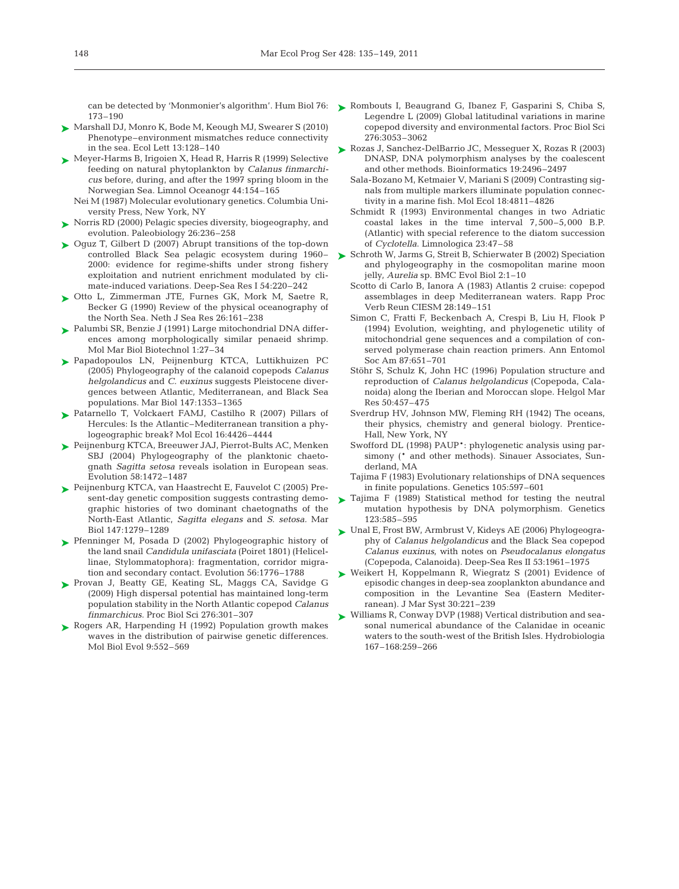173–190

- ► Marshall DJ, Monro K, Bode M, Keough MJ, Swearer S (2010) Phenotype–environment mismatches reduce connectivity in the sea. Ecol Lett 13:128–140
- Meyer-Harms B, Irigoien X, Head R, Harris R (1999) Selective ➤ feeding on natural phytoplankton by *Calanus finmarchicus* before, during, and after the 1997 spring bloom in the Norwegian Sea. Limnol Oceanogr 44:154–165
	- Nei M (1987) Molecular evolutionary genetics. Columbia University Press, New York, NY
- ► Norris RD (2000) Pelagic species diversity, biogeography, and evolution. Paleobiology 26:236–258
- ► Oguz T, Gilbert D (2007) Abrupt transitions of the top-down controlled Black Sea pelagic ecosystem during 1960– 2000: evidence for regime-shifts under strong fishery exploitation and nutrient enrichment modulated by climate-induced variations. Deep-Sea Res I 54:220–242
- ► Otto L, Zimmerman JTE, Furnes GK, Mork M, Saetre R, Becker G (1990) Review of the physical oceanography of the North Sea. Neth J Sea Res 26:161–238
- ► Palumbi SR, Benzie J (1991) Large mitochondrial DNA differences among morphologically similar penaeid shrimp. Mol Mar Biol Biotechnol 1:27–34
- ► Papadopoulos LN, Peijnenburg KTCA, Luttikhuizen PC (2005) Phylogeography of the calanoid copepods *Calanus helgolandicus* and *C. euxinus* suggests Pleistocene divergences between Atlantic, Mediterranean, and Black Sea populations. Mar Biol 147:1353–1365
- ▶ Patarnello T, Volckaert FAMJ, Castilho R (2007) Pillars of Hercules: Is the Atlantic–Mediterranean transition a phylogeographic break? Mol Ecol 16:4426–4444
- ► Peijnenburg KTCA, Breeuwer JAJ, Pierrot-Bults AC, Menken SBJ (2004) Phylogeography of the planktonic chaetognath *Sagitta setosa* reveals isolation in European seas. Evolution 58:1472–1487
- ► Peijnenburg KTCA, van Haastrecht E, Fauvelot C (2005) Present-day genetic composition suggests contrasting demographic histories of two dominant chaetognaths of the North-East Atlantic, *Sagitta elegans* and *S. setosa.* Mar Biol 147:1279–1289
- ▶ Pfenninger M, Posada D (2002) Phylogeographic history of the land snail *Candidula unifasciata* (Poiret 1801) (Helicellinae, Stylommatophora): fragmentation, corridor migration and secondary contact. Evolution 56:1776–1788
- Provan J, Beatty GE, Keating SL, Maggs CA, Savidge G ➤ (2009) High dispersal potential has maintained long-term population stability in the North Atlantic copepod *Calanus finmarchicus*. Proc Biol Sci 276:301–307
- ▶ Rogers AR, Harpending H (1992) Population growth makes waves in the distribution of pairwise genetic differences. Mol Biol Evol 9:552–569
- can be detected by 'Monmonier's algorithm'. Hum Biol 76: Nombouts I, Beaugrand G, Ibanez F, Gasparini S, Chiba S, Legendre L (2009) Global latitudinal variations in marine copepod diversity and environmental factors. Proc Biol Sci 276: 3053–3062
	- ► Rozas J, Sanchez-DelBarrio JC, Messeguer X, Rozas R (2003) DNASP, DNA polymorphism analyses by the coalescent and other methods. Bioinformatics 19:2496–2497
		- Sala-Bozano M, Ketmaier V, Mariani S (2009) Contrasting signals from multiple markers illuminate population connectivity in a marine fish. Mol Ecol 18:4811–4826
		- Schmidt R (1993) Environmental changes in two Adriatic coastal lakes in the time interval 7,500–5,000 B.P. (Atlantic) with special reference to the diatom succession of *Cyclotella*. Limnologica 23:47–58
	- ► Schroth W, Jarms G, Streit B, Schierwater B (2002) Speciation and phylogeography in the cosmopolitan marine moon jelly, *Aurelia* sp. BMC Evol Biol 2:1–10
		- Scotto di Carlo B, Ianora A (1983) Atlantis 2 cruise: copepod assemblages in deep Mediterranean waters. Rapp Proc Verb Reun CIESM 28:149–151
		- Simon C, Fratti F, Beckenbach A, Crespi B, Liu H, Flook P (1994) Evolution, weighting, and phylogenetic utility of mitochondrial gene sequences and a compilation of conserved polymerase chain reaction primers. Ann Entomol Soc Am 87:651–701
		- Stöhr S, Schulz K, John HC (1996) Population structure and reproduction of *Calanus helgolandicus* (Copepoda, Cala noida) along the Iberian and Moroccan slope. Helgol Mar Res 50:457–475
		- Sverdrup HV, Johnson MW, Fleming RH (1942) The oceans, their physics, chemistry and general biology. Prentice-Hall, New York, NY
		- Swofford DL (1998) PAUP\*: phylogenetic analysis using parsimony (\* and other methods). Sinauer Associates, Sunderland, MA
		- Tajima F (1983) Evolutionary relationships of DNA sequences in finite populations. Genetics 105:597–601
	- Tajima F (1989) Statistical method for testing the neutral mutation hypothesis by DNA polymorphism. Genetics 123:585–595 ➤
	- Unal E, Frost BW, Armbrust V, Kideys AE (2006) Phylogeogra-➤ phy of *Calanus helgolandicus* and the Black Sea copepod *Calanus euxinus*, with notes on *Pseudocalanus elongatus* (Copepoda, Calanoida). Deep-Sea Res II 53: 1961–1975
	- ► Weikert H, Koppelmann R, Wiegratz S (2001) Evidence of episodic changes in deep-sea zooplankton abundance and composition in the Levantine Sea (Eastern Mediterranean). J Mar Syst 30:221–239
	- ► Williams R, Conway DVP (1988) Vertical distribution and seasonal numerical abundance of the Calanidae in oceanic waters to the south-west of the British Isles. Hydrobiologia 167–168: 259–266